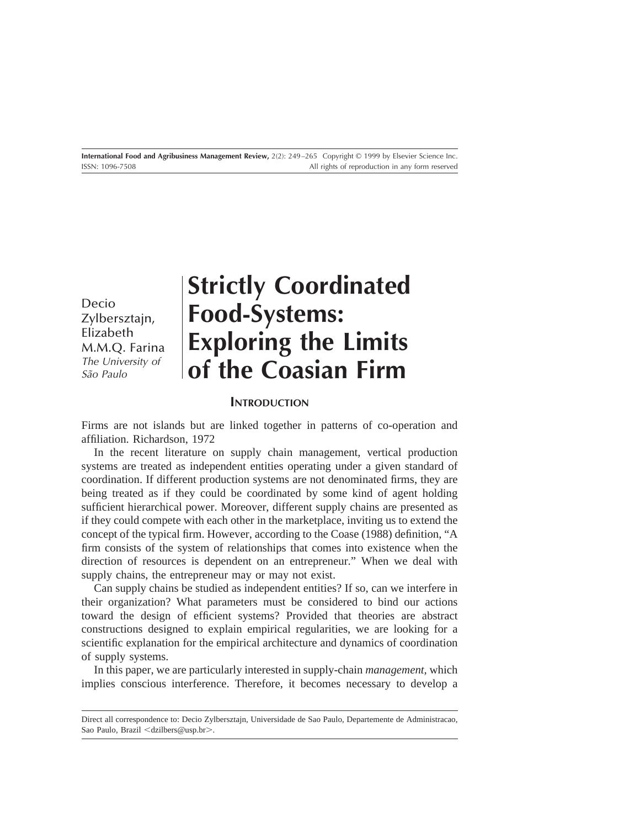**International Food and Agribusiness Management Review,** 2(2): 249–265 Copyright © 1999 by Elsevier Science Inc. ISSN: 1096-7508 All rights of reproduction in any form reserved

Decio Zylbersztajn, Elizabeth M.M.Q. Farina The University of São Paulo

# **Strictly Coordinated Food-Systems: Exploring the Limits of the Coasian Firm**

#### **INTRODUCTION**

Firms are not islands but are linked together in patterns of co-operation and affiliation. Richardson, 1972

In the recent literature on supply chain management, vertical production systems are treated as independent entities operating under a given standard of coordination. If different production systems are not denominated firms, they are being treated as if they could be coordinated by some kind of agent holding sufficient hierarchical power. Moreover, different supply chains are presented as if they could compete with each other in the marketplace, inviting us to extend the concept of the typical firm. However, according to the Coase (1988) definition, "A firm consists of the system of relationships that comes into existence when the direction of resources is dependent on an entrepreneur." When we deal with supply chains, the entrepreneur may or may not exist.

Can supply chains be studied as independent entities? If so, can we interfere in their organization? What parameters must be considered to bind our actions toward the design of efficient systems? Provided that theories are abstract constructions designed to explain empirical regularities, we are looking for a scientific explanation for the empirical architecture and dynamics of coordination of supply systems.

In this paper, we are particularly interested in supply-chain *management,* which implies conscious interference. Therefore, it becomes necessary to develop a

Direct all correspondence to: Decio Zylbersztajn, Universidade de Sao Paulo, Departemente de Administracao, Sao Paulo, Brazil <dzilbers@usp.br>.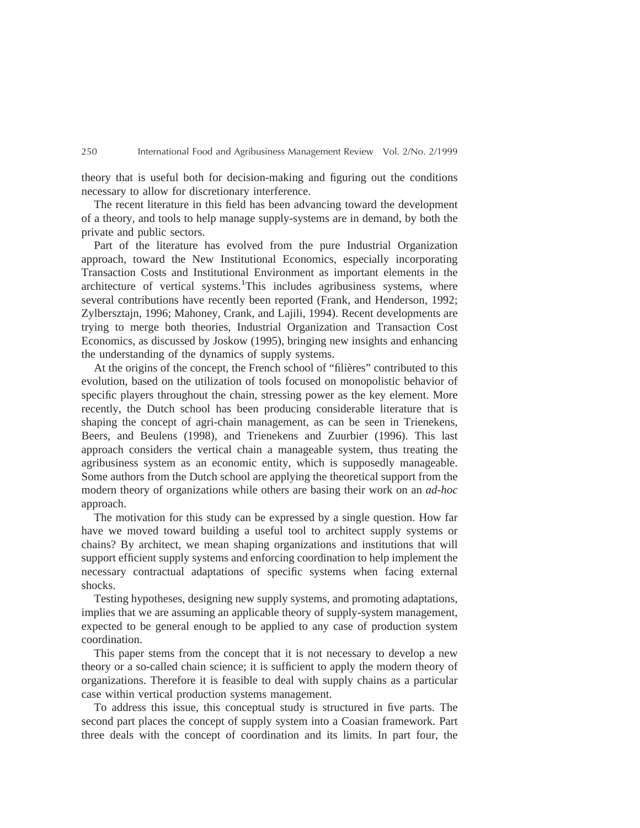theory that is useful both for decision-making and figuring out the conditions necessary to allow for discretionary interference.

The recent literature in this field has been advancing toward the development of a theory, and tools to help manage supply-systems are in demand, by both the private and public sectors.

Part of the literature has evolved from the pure Industrial Organization approach, toward the New Institutional Economics, especially incorporating Transaction Costs and Institutional Environment as important elements in the architecture of vertical systems.<sup>1</sup>This includes agribusiness systems, where several contributions have recently been reported (Frank, and Henderson, 1992; Zylbersztajn, 1996; Mahoney, Crank, and Lajili, 1994). Recent developments are trying to merge both theories, Industrial Organization and Transaction Cost Economics, as discussed by Joskow (1995), bringing new insights and enhancing the understanding of the dynamics of supply systems.

At the origins of the concept, the French school of "filieres" contributed to this evolution, based on the utilization of tools focused on monopolistic behavior of specific players throughout the chain, stressing power as the key element. More recently, the Dutch school has been producing considerable literature that is shaping the concept of agri-chain management, as can be seen in Trienekens, Beers, and Beulens (1998), and Trienekens and Zuurbier (1996). This last approach considers the vertical chain a manageable system, thus treating the agribusiness system as an economic entity, which is supposedly manageable. Some authors from the Dutch school are applying the theoretical support from the modern theory of organizations while others are basing their work on an *ad-hoc* approach.

The motivation for this study can be expressed by a single question. How far have we moved toward building a useful tool to architect supply systems or chains? By architect, we mean shaping organizations and institutions that will support efficient supply systems and enforcing coordination to help implement the necessary contractual adaptations of specific systems when facing external shocks.

Testing hypotheses, designing new supply systems, and promoting adaptations, implies that we are assuming an applicable theory of supply-system management, expected to be general enough to be applied to any case of production system coordination.

This paper stems from the concept that it is not necessary to develop a new theory or a so-called chain science; it is sufficient to apply the modern theory of organizations. Therefore it is feasible to deal with supply chains as a particular case within vertical production systems management.

To address this issue, this conceptual study is structured in five parts. The second part places the concept of supply system into a Coasian framework. Part three deals with the concept of coordination and its limits. In part four, the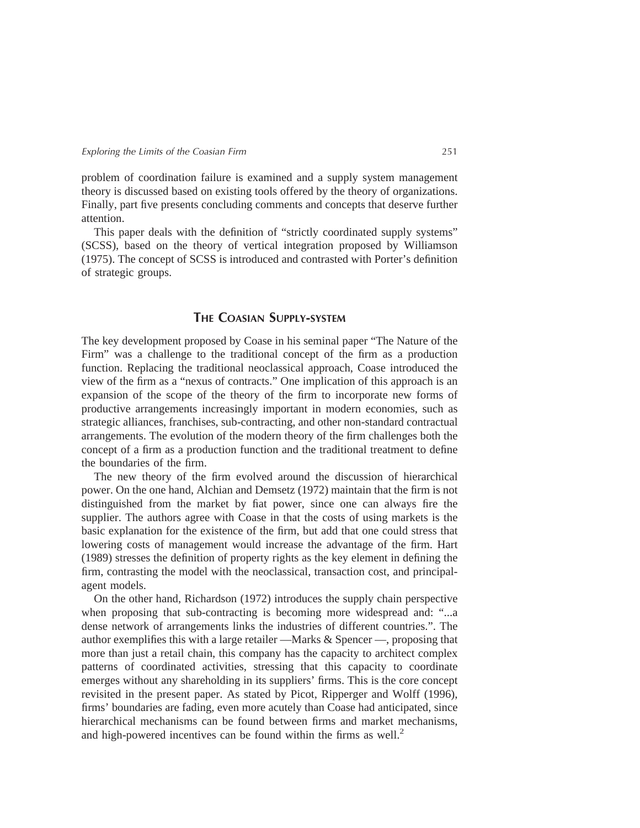problem of coordination failure is examined and a supply system management theory is discussed based on existing tools offered by the theory of organizations. Finally, part five presents concluding comments and concepts that deserve further attention.

This paper deals with the definition of "strictly coordinated supply systems" (SCSS), based on the theory of vertical integration proposed by Williamson (1975). The concept of SCSS is introduced and contrasted with Porter's definition of strategic groups.

# **THE COASIAN SUPPLY-SYSTEM**

The key development proposed by Coase in his seminal paper "The Nature of the Firm" was a challenge to the traditional concept of the firm as a production function. Replacing the traditional neoclassical approach, Coase introduced the view of the firm as a "nexus of contracts." One implication of this approach is an expansion of the scope of the theory of the firm to incorporate new forms of productive arrangements increasingly important in modern economies, such as strategic alliances, franchises, sub-contracting, and other non-standard contractual arrangements. The evolution of the modern theory of the firm challenges both the concept of a firm as a production function and the traditional treatment to define the boundaries of the firm.

The new theory of the firm evolved around the discussion of hierarchical power. On the one hand, Alchian and Demsetz (1972) maintain that the firm is not distinguished from the market by fiat power, since one can always fire the supplier. The authors agree with Coase in that the costs of using markets is the basic explanation for the existence of the firm, but add that one could stress that lowering costs of management would increase the advantage of the firm. Hart (1989) stresses the definition of property rights as the key element in defining the firm, contrasting the model with the neoclassical, transaction cost, and principalagent models.

On the other hand, Richardson (1972) introduces the supply chain perspective when proposing that sub-contracting is becoming more widespread and: "...a dense network of arrangements links the industries of different countries.". The author exemplifies this with a large retailer —Marks & Spencer —, proposing that more than just a retail chain, this company has the capacity to architect complex patterns of coordinated activities, stressing that this capacity to coordinate emerges without any shareholding in its suppliers' firms. This is the core concept revisited in the present paper. As stated by Picot, Ripperger and Wolff (1996), firms' boundaries are fading, even more acutely than Coase had anticipated, since hierarchical mechanisms can be found between firms and market mechanisms, and high-powered incentives can be found within the firms as well. $<sup>2</sup>$ </sup>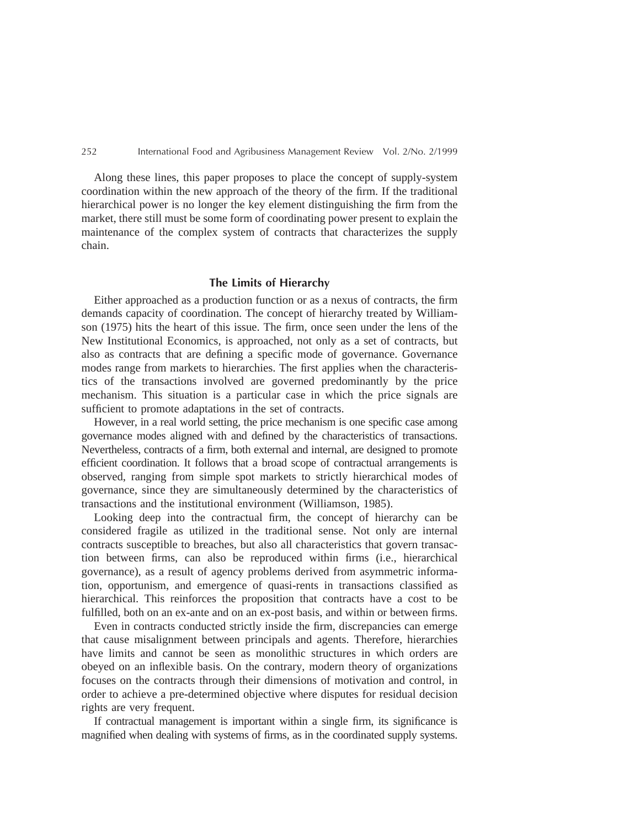Along these lines, this paper proposes to place the concept of supply-system coordination within the new approach of the theory of the firm. If the traditional hierarchical power is no longer the key element distinguishing the firm from the market, there still must be some form of coordinating power present to explain the maintenance of the complex system of contracts that characterizes the supply chain.

#### **The Limits of Hierarchy**

Either approached as a production function or as a nexus of contracts, the firm demands capacity of coordination. The concept of hierarchy treated by Williamson (1975) hits the heart of this issue. The firm, once seen under the lens of the New Institutional Economics, is approached, not only as a set of contracts, but also as contracts that are defining a specific mode of governance. Governance modes range from markets to hierarchies. The first applies when the characteristics of the transactions involved are governed predominantly by the price mechanism. This situation is a particular case in which the price signals are sufficient to promote adaptations in the set of contracts.

However, in a real world setting, the price mechanism is one specific case among governance modes aligned with and defined by the characteristics of transactions. Nevertheless, contracts of a firm, both external and internal, are designed to promote efficient coordination. It follows that a broad scope of contractual arrangements is observed, ranging from simple spot markets to strictly hierarchical modes of governance, since they are simultaneously determined by the characteristics of transactions and the institutional environment (Williamson, 1985).

Looking deep into the contractual firm, the concept of hierarchy can be considered fragile as utilized in the traditional sense. Not only are internal contracts susceptible to breaches, but also all characteristics that govern transaction between firms, can also be reproduced within firms (i.e., hierarchical governance), as a result of agency problems derived from asymmetric information, opportunism, and emergence of quasi-rents in transactions classified as hierarchical. This reinforces the proposition that contracts have a cost to be fulfilled, both on an ex-ante and on an ex-post basis, and within or between firms.

Even in contracts conducted strictly inside the firm, discrepancies can emerge that cause misalignment between principals and agents. Therefore, hierarchies have limits and cannot be seen as monolithic structures in which orders are obeyed on an inflexible basis. On the contrary, modern theory of organizations focuses on the contracts through their dimensions of motivation and control, in order to achieve a pre-determined objective where disputes for residual decision rights are very frequent.

If contractual management is important within a single firm, its significance is magnified when dealing with systems of firms, as in the coordinated supply systems.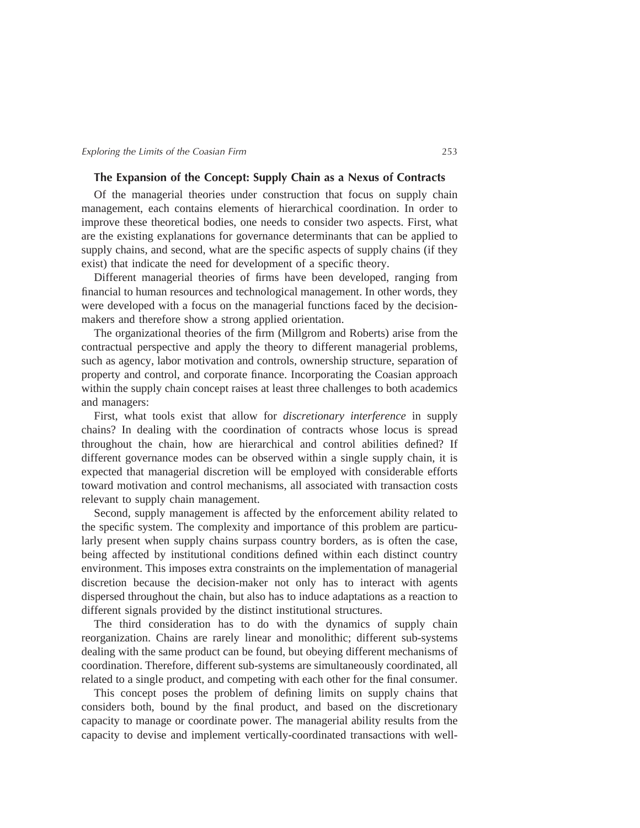## **The Expansion of the Concept: Supply Chain as a Nexus of Contracts**

Of the managerial theories under construction that focus on supply chain management, each contains elements of hierarchical coordination. In order to improve these theoretical bodies, one needs to consider two aspects. First, what are the existing explanations for governance determinants that can be applied to supply chains, and second, what are the specific aspects of supply chains (if they exist) that indicate the need for development of a specific theory.

Different managerial theories of firms have been developed, ranging from financial to human resources and technological management. In other words, they were developed with a focus on the managerial functions faced by the decisionmakers and therefore show a strong applied orientation.

The organizational theories of the firm (Millgrom and Roberts) arise from the contractual perspective and apply the theory to different managerial problems, such as agency, labor motivation and controls, ownership structure, separation of property and control, and corporate finance. Incorporating the Coasian approach within the supply chain concept raises at least three challenges to both academics and managers:

First, what tools exist that allow for *discretionary interference* in supply chains? In dealing with the coordination of contracts whose locus is spread throughout the chain, how are hierarchical and control abilities defined? If different governance modes can be observed within a single supply chain, it is expected that managerial discretion will be employed with considerable efforts toward motivation and control mechanisms, all associated with transaction costs relevant to supply chain management.

Second, supply management is affected by the enforcement ability related to the specific system. The complexity and importance of this problem are particularly present when supply chains surpass country borders, as is often the case, being affected by institutional conditions defined within each distinct country environment. This imposes extra constraints on the implementation of managerial discretion because the decision-maker not only has to interact with agents dispersed throughout the chain, but also has to induce adaptations as a reaction to different signals provided by the distinct institutional structures.

The third consideration has to do with the dynamics of supply chain reorganization. Chains are rarely linear and monolithic; different sub-systems dealing with the same product can be found, but obeying different mechanisms of coordination. Therefore, different sub-systems are simultaneously coordinated, all related to a single product, and competing with each other for the final consumer.

This concept poses the problem of defining limits on supply chains that considers both, bound by the final product, and based on the discretionary capacity to manage or coordinate power. The managerial ability results from the capacity to devise and implement vertically-coordinated transactions with well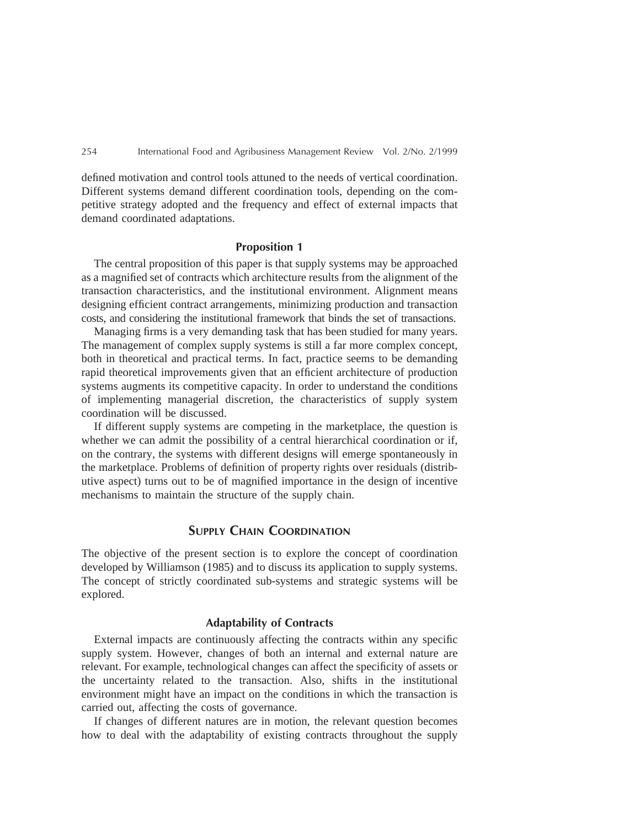defined motivation and control tools attuned to the needs of vertical coordination. Different systems demand different coordination tools, depending on the competitive strategy adopted and the frequency and effect of external impacts that demand coordinated adaptations.

#### **Proposition 1**

The central proposition of this paper is that supply systems may be approached as a magnified set of contracts which architecture results from the alignment of the transaction characteristics, and the institutional environment. Alignment means designing efficient contract arrangements, minimizing production and transaction costs, and considering the institutional framework that binds the set of transactions.

Managing firms is a very demanding task that has been studied for many years. The management of complex supply systems is still a far more complex concept, both in theoretical and practical terms. In fact, practice seems to be demanding rapid theoretical improvements given that an efficient architecture of production systems augments its competitive capacity. In order to understand the conditions of implementing managerial discretion, the characteristics of supply system coordination will be discussed.

If different supply systems are competing in the marketplace, the question is whether we can admit the possibility of a central hierarchical coordination or if, on the contrary, the systems with different designs will emerge spontaneously in the marketplace. Problems of definition of property rights over residuals (distributive aspect) turns out to be of magnified importance in the design of incentive mechanisms to maintain the structure of the supply chain.

# **SUPPLY CHAIN COORDINATION**

The objective of the present section is to explore the concept of coordination developed by Williamson (1985) and to discuss its application to supply systems. The concept of strictly coordinated sub-systems and strategic systems will be explored.

## **Adaptability of Contracts**

External impacts are continuously affecting the contracts within any specific supply system. However, changes of both an internal and external nature are relevant. For example, technological changes can affect the specificity of assets or the uncertainty related to the transaction. Also, shifts in the institutional environment might have an impact on the conditions in which the transaction is carried out, affecting the costs of governance.

If changes of different natures are in motion, the relevant question becomes how to deal with the adaptability of existing contracts throughout the supply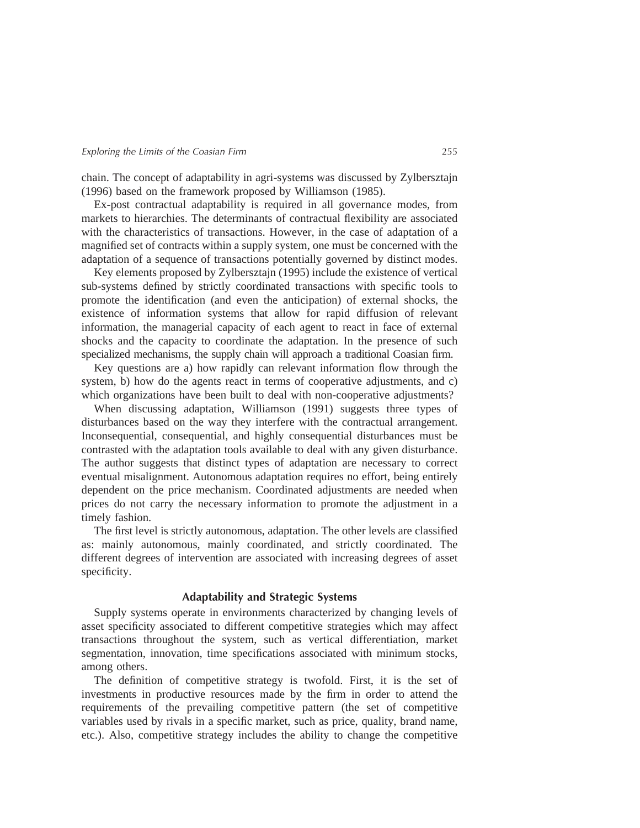chain. The concept of adaptability in agri-systems was discussed by Zylbersztajn (1996) based on the framework proposed by Williamson (1985).

Ex-post contractual adaptability is required in all governance modes, from markets to hierarchies. The determinants of contractual flexibility are associated with the characteristics of transactions. However, in the case of adaptation of a magnified set of contracts within a supply system, one must be concerned with the adaptation of a sequence of transactions potentially governed by distinct modes.

Key elements proposed by Zylbersztajn (1995) include the existence of vertical sub-systems defined by strictly coordinated transactions with specific tools to promote the identification (and even the anticipation) of external shocks, the existence of information systems that allow for rapid diffusion of relevant information, the managerial capacity of each agent to react in face of external shocks and the capacity to coordinate the adaptation. In the presence of such specialized mechanisms, the supply chain will approach a traditional Coasian firm.

Key questions are a) how rapidly can relevant information flow through the system, b) how do the agents react in terms of cooperative adjustments, and c) which organizations have been built to deal with non-cooperative adjustments?

When discussing adaptation, Williamson (1991) suggests three types of disturbances based on the way they interfere with the contractual arrangement. Inconsequential, consequential, and highly consequential disturbances must be contrasted with the adaptation tools available to deal with any given disturbance. The author suggests that distinct types of adaptation are necessary to correct eventual misalignment. Autonomous adaptation requires no effort, being entirely dependent on the price mechanism. Coordinated adjustments are needed when prices do not carry the necessary information to promote the adjustment in a timely fashion.

The first level is strictly autonomous, adaptation. The other levels are classified as: mainly autonomous, mainly coordinated, and strictly coordinated. The different degrees of intervention are associated with increasing degrees of asset specificity.

#### **Adaptability and Strategic Systems**

Supply systems operate in environments characterized by changing levels of asset specificity associated to different competitive strategies which may affect transactions throughout the system, such as vertical differentiation, market segmentation, innovation, time specifications associated with minimum stocks, among others.

The definition of competitive strategy is twofold. First, it is the set of investments in productive resources made by the firm in order to attend the requirements of the prevailing competitive pattern (the set of competitive variables used by rivals in a specific market, such as price, quality, brand name, etc.). Also, competitive strategy includes the ability to change the competitive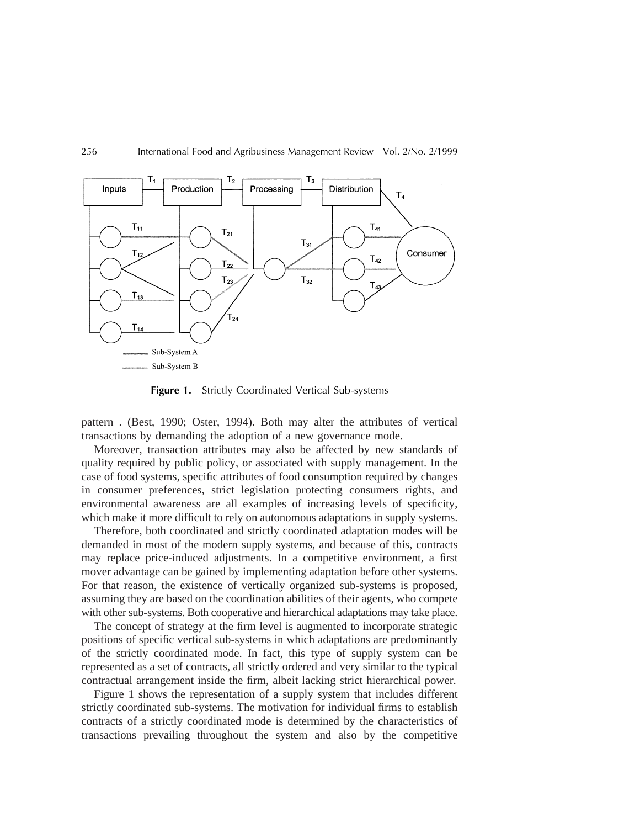

**Figure 1.** Strictly Coordinated Vertical Sub-systems

pattern . (Best, 1990; Oster, 1994). Both may alter the attributes of vertical transactions by demanding the adoption of a new governance mode.

Moreover, transaction attributes may also be affected by new standards of quality required by public policy, or associated with supply management. In the case of food systems, specific attributes of food consumption required by changes in consumer preferences, strict legislation protecting consumers rights, and environmental awareness are all examples of increasing levels of specificity, which make it more difficult to rely on autonomous adaptations in supply systems.

Therefore, both coordinated and strictly coordinated adaptation modes will be demanded in most of the modern supply systems, and because of this, contracts may replace price-induced adjustments. In a competitive environment, a first mover advantage can be gained by implementing adaptation before other systems. For that reason, the existence of vertically organized sub-systems is proposed, assuming they are based on the coordination abilities of their agents, who compete with other sub-systems. Both cooperative and hierarchical adaptations may take place.

The concept of strategy at the firm level is augmented to incorporate strategic positions of specific vertical sub-systems in which adaptations are predominantly of the strictly coordinated mode. In fact, this type of supply system can be represented as a set of contracts, all strictly ordered and very similar to the typical contractual arrangement inside the firm, albeit lacking strict hierarchical power.

Figure 1 shows the representation of a supply system that includes different strictly coordinated sub-systems. The motivation for individual firms to establish contracts of a strictly coordinated mode is determined by the characteristics of transactions prevailing throughout the system and also by the competitive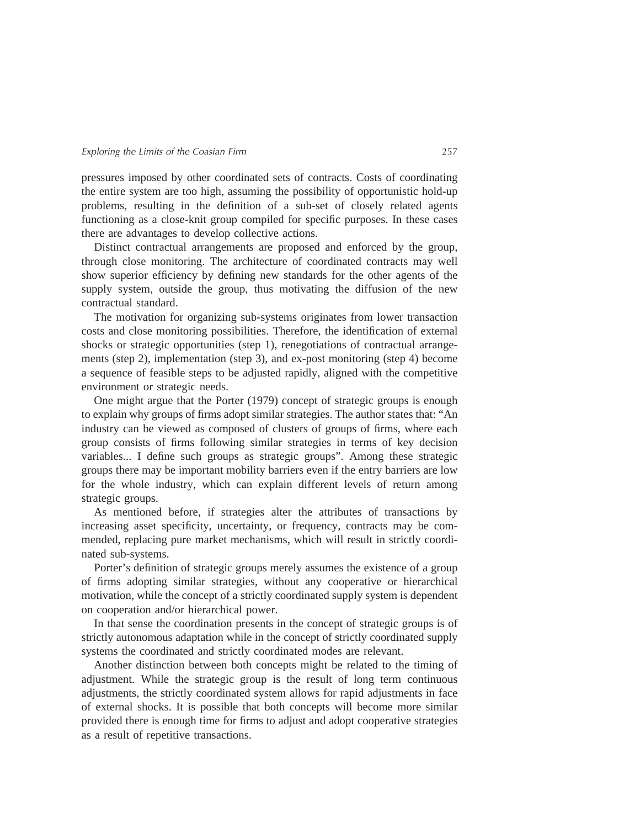pressures imposed by other coordinated sets of contracts. Costs of coordinating the entire system are too high, assuming the possibility of opportunistic hold-up problems, resulting in the definition of a sub-set of closely related agents functioning as a close-knit group compiled for specific purposes. In these cases there are advantages to develop collective actions.

Distinct contractual arrangements are proposed and enforced by the group, through close monitoring. The architecture of coordinated contracts may well show superior efficiency by defining new standards for the other agents of the supply system, outside the group, thus motivating the diffusion of the new contractual standard.

The motivation for organizing sub-systems originates from lower transaction costs and close monitoring possibilities. Therefore, the identification of external shocks or strategic opportunities (step 1), renegotiations of contractual arrangements (step 2), implementation (step 3), and ex-post monitoring (step 4) become a sequence of feasible steps to be adjusted rapidly, aligned with the competitive environment or strategic needs.

One might argue that the Porter (1979) concept of strategic groups is enough to explain why groups of firms adopt similar strategies. The author states that: "An industry can be viewed as composed of clusters of groups of firms, where each group consists of firms following similar strategies in terms of key decision variables... I define such groups as strategic groups". Among these strategic groups there may be important mobility barriers even if the entry barriers are low for the whole industry, which can explain different levels of return among strategic groups.

As mentioned before, if strategies alter the attributes of transactions by increasing asset specificity, uncertainty, or frequency, contracts may be commended, replacing pure market mechanisms, which will result in strictly coordinated sub-systems.

Porter's definition of strategic groups merely assumes the existence of a group of firms adopting similar strategies, without any cooperative or hierarchical motivation, while the concept of a strictly coordinated supply system is dependent on cooperation and/or hierarchical power.

In that sense the coordination presents in the concept of strategic groups is of strictly autonomous adaptation while in the concept of strictly coordinated supply systems the coordinated and strictly coordinated modes are relevant.

Another distinction between both concepts might be related to the timing of adjustment. While the strategic group is the result of long term continuous adjustments, the strictly coordinated system allows for rapid adjustments in face of external shocks. It is possible that both concepts will become more similar provided there is enough time for firms to adjust and adopt cooperative strategies as a result of repetitive transactions.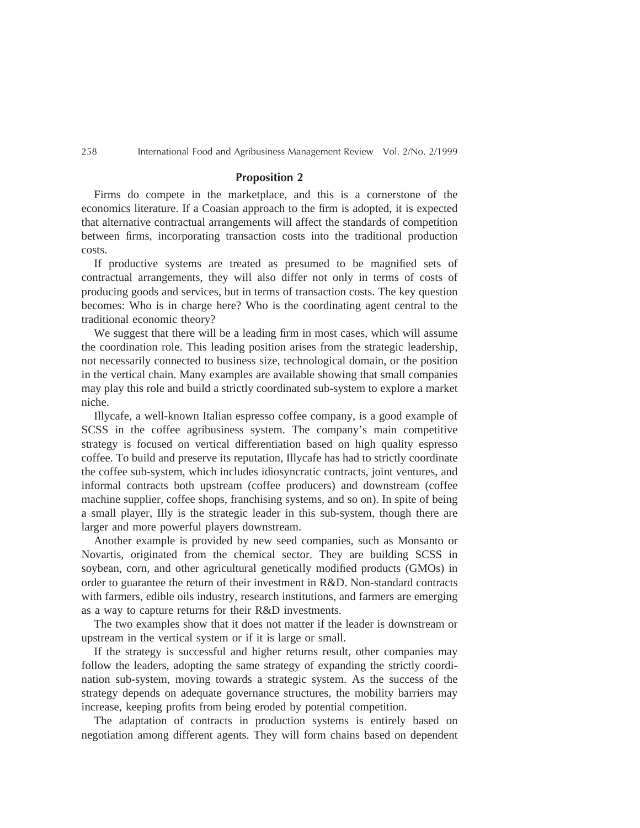### **Proposition 2**

Firms do compete in the marketplace, and this is a cornerstone of the economics literature. If a Coasian approach to the firm is adopted, it is expected that alternative contractual arrangements will affect the standards of competition between firms, incorporating transaction costs into the traditional production costs.

If productive systems are treated as presumed to be magnified sets of contractual arrangements, they will also differ not only in terms of costs of producing goods and services, but in terms of transaction costs. The key question becomes: Who is in charge here? Who is the coordinating agent central to the traditional economic theory?

We suggest that there will be a leading firm in most cases, which will assume the coordination role. This leading position arises from the strategic leadership, not necessarily connected to business size, technological domain, or the position in the vertical chain. Many examples are available showing that small companies may play this role and build a strictly coordinated sub-system to explore a market niche.

Illycafe, a well-known Italian espresso coffee company, is a good example of SCSS in the coffee agribusiness system. The company's main competitive strategy is focused on vertical differentiation based on high quality espresso coffee. To build and preserve its reputation, Illycafe has had to strictly coordinate the coffee sub-system, which includes idiosyncratic contracts, joint ventures, and informal contracts both upstream (coffee producers) and downstream (coffee machine supplier, coffee shops, franchising systems, and so on). In spite of being a small player, Illy is the strategic leader in this sub-system, though there are larger and more powerful players downstream.

Another example is provided by new seed companies, such as Monsanto or Novartis, originated from the chemical sector. They are building SCSS in soybean, corn, and other agricultural genetically modified products (GMOs) in order to guarantee the return of their investment in R&D. Non-standard contracts with farmers, edible oils industry, research institutions, and farmers are emerging as a way to capture returns for their R&D investments.

The two examples show that it does not matter if the leader is downstream or upstream in the vertical system or if it is large or small.

If the strategy is successful and higher returns result, other companies may follow the leaders, adopting the same strategy of expanding the strictly coordination sub-system, moving towards a strategic system. As the success of the strategy depends on adequate governance structures, the mobility barriers may increase, keeping profits from being eroded by potential competition.

The adaptation of contracts in production systems is entirely based on negotiation among different agents. They will form chains based on dependent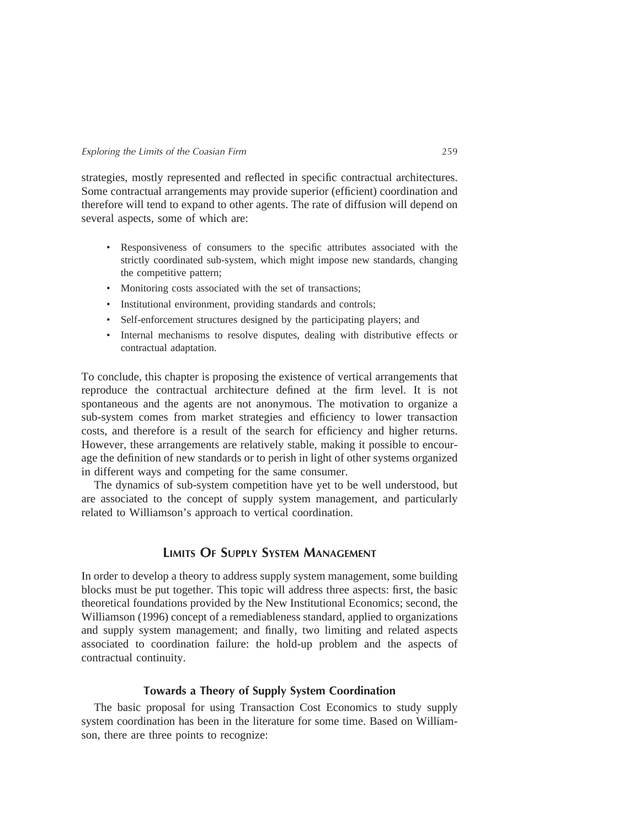strategies, mostly represented and reflected in specific contractual architectures. Some contractual arrangements may provide superior (efficient) coordination and therefore will tend to expand to other agents. The rate of diffusion will depend on several aspects, some of which are:

- Responsiveness of consumers to the specific attributes associated with the strictly coordinated sub-system, which might impose new standards, changing the competitive pattern;
- Monitoring costs associated with the set of transactions;
- Institutional environment, providing standards and controls;
- Self-enforcement structures designed by the participating players; and
- Internal mechanisms to resolve disputes, dealing with distributive effects or contractual adaptation.

To conclude, this chapter is proposing the existence of vertical arrangements that reproduce the contractual architecture defined at the firm level. It is not spontaneous and the agents are not anonymous. The motivation to organize a sub-system comes from market strategies and efficiency to lower transaction costs, and therefore is a result of the search for efficiency and higher returns. However, these arrangements are relatively stable, making it possible to encourage the definition of new standards or to perish in light of other systems organized in different ways and competing for the same consumer.

The dynamics of sub-system competition have yet to be well understood, but are associated to the concept of supply system management, and particularly related to Williamson's approach to vertical coordination.

# **LIMITS OF SUPPLY SYSTEM MANAGEMENT**

In order to develop a theory to address supply system management, some building blocks must be put together. This topic will address three aspects: first, the basic theoretical foundations provided by the New Institutional Economics; second, the Williamson (1996) concept of a remediableness standard, applied to organizations and supply system management; and finally, two limiting and related aspects associated to coordination failure: the hold-up problem and the aspects of contractual continuity.

#### **Towards a Theory of Supply System Coordination**

The basic proposal for using Transaction Cost Economics to study supply system coordination has been in the literature for some time. Based on Williamson, there are three points to recognize: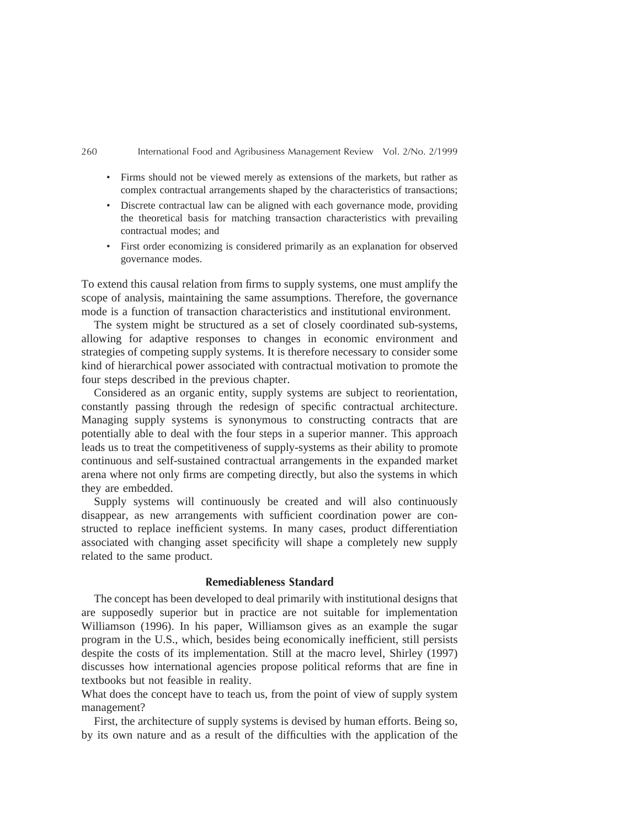- Firms should not be viewed merely as extensions of the markets, but rather as complex contractual arrangements shaped by the characteristics of transactions;
- Discrete contractual law can be aligned with each governance mode, providing the theoretical basis for matching transaction characteristics with prevailing contractual modes; and
- First order economizing is considered primarily as an explanation for observed governance modes.

To extend this causal relation from firms to supply systems, one must amplify the scope of analysis, maintaining the same assumptions. Therefore, the governance mode is a function of transaction characteristics and institutional environment.

The system might be structured as a set of closely coordinated sub-systems, allowing for adaptive responses to changes in economic environment and strategies of competing supply systems. It is therefore necessary to consider some kind of hierarchical power associated with contractual motivation to promote the four steps described in the previous chapter.

Considered as an organic entity, supply systems are subject to reorientation, constantly passing through the redesign of specific contractual architecture. Managing supply systems is synonymous to constructing contracts that are potentially able to deal with the four steps in a superior manner. This approach leads us to treat the competitiveness of supply-systems as their ability to promote continuous and self-sustained contractual arrangements in the expanded market arena where not only firms are competing directly, but also the systems in which they are embedded.

Supply systems will continuously be created and will also continuously disappear, as new arrangements with sufficient coordination power are constructed to replace inefficient systems. In many cases, product differentiation associated with changing asset specificity will shape a completely new supply related to the same product.

#### **Remediableness Standard**

The concept has been developed to deal primarily with institutional designs that are supposedly superior but in practice are not suitable for implementation Williamson (1996). In his paper, Williamson gives as an example the sugar program in the U.S., which, besides being economically inefficient, still persists despite the costs of its implementation. Still at the macro level, Shirley (1997) discusses how international agencies propose political reforms that are fine in textbooks but not feasible in reality.

What does the concept have to teach us, from the point of view of supply system management?

First, the architecture of supply systems is devised by human efforts. Being so, by its own nature and as a result of the difficulties with the application of the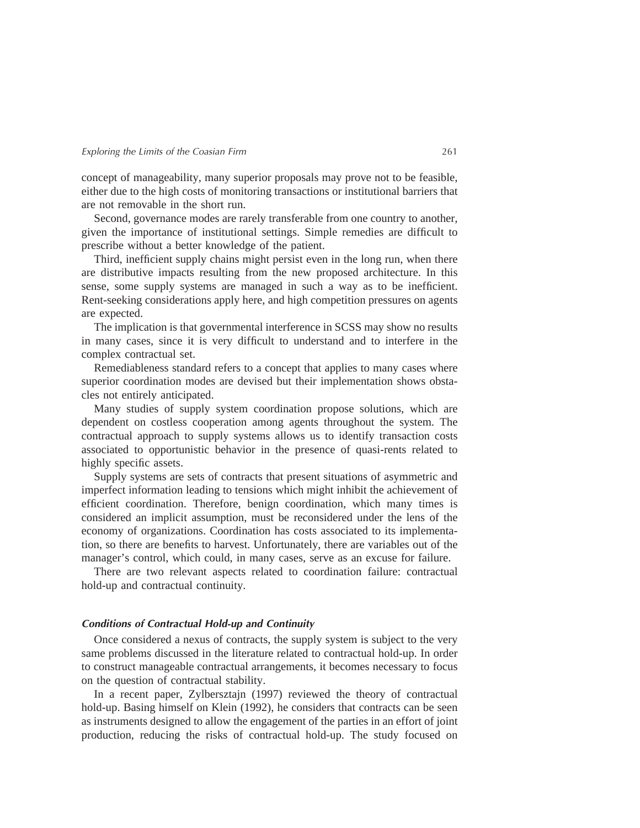concept of manageability, many superior proposals may prove not to be feasible, either due to the high costs of monitoring transactions or institutional barriers that are not removable in the short run.

Second, governance modes are rarely transferable from one country to another, given the importance of institutional settings. Simple remedies are difficult to prescribe without a better knowledge of the patient.

Third, inefficient supply chains might persist even in the long run, when there are distributive impacts resulting from the new proposed architecture. In this sense, some supply systems are managed in such a way as to be inefficient. Rent-seeking considerations apply here, and high competition pressures on agents are expected.

The implication is that governmental interference in SCSS may show no results in many cases, since it is very difficult to understand and to interfere in the complex contractual set.

Remediableness standard refers to a concept that applies to many cases where superior coordination modes are devised but their implementation shows obstacles not entirely anticipated.

Many studies of supply system coordination propose solutions, which are dependent on costless cooperation among agents throughout the system. The contractual approach to supply systems allows us to identify transaction costs associated to opportunistic behavior in the presence of quasi-rents related to highly specific assets.

Supply systems are sets of contracts that present situations of asymmetric and imperfect information leading to tensions which might inhibit the achievement of efficient coordination. Therefore, benign coordination, which many times is considered an implicit assumption, must be reconsidered under the lens of the economy of organizations. Coordination has costs associated to its implementation, so there are benefits to harvest. Unfortunately, there are variables out of the manager's control, which could, in many cases, serve as an excuse for failure.

There are two relevant aspects related to coordination failure: contractual hold-up and contractual continuity.

#### **Conditions of Contractual Hold-up and Continuity**

Once considered a nexus of contracts, the supply system is subject to the very same problems discussed in the literature related to contractual hold-up. In order to construct manageable contractual arrangements, it becomes necessary to focus on the question of contractual stability.

In a recent paper, Zylbersztajn (1997) reviewed the theory of contractual hold-up. Basing himself on Klein (1992), he considers that contracts can be seen as instruments designed to allow the engagement of the parties in an effort of joint production, reducing the risks of contractual hold-up. The study focused on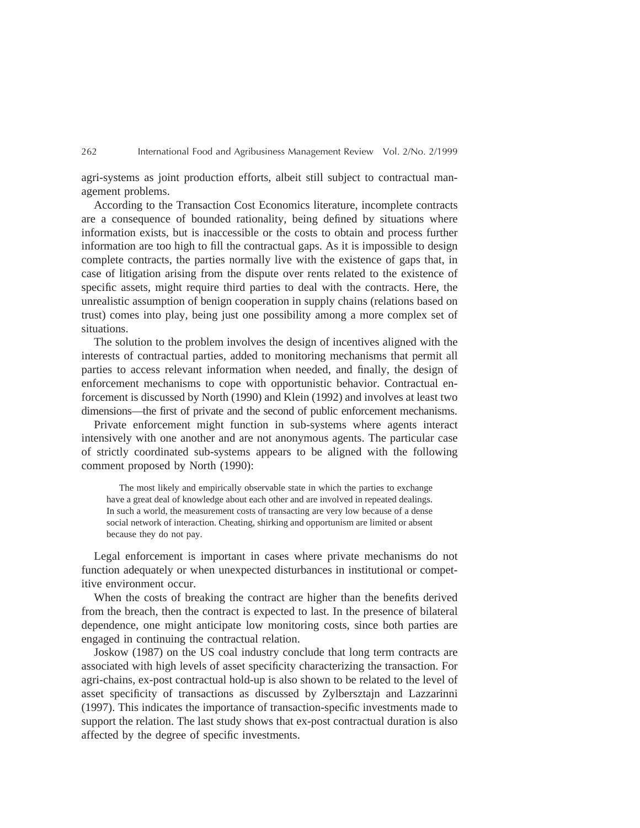agri-systems as joint production efforts, albeit still subject to contractual management problems.

According to the Transaction Cost Economics literature, incomplete contracts are a consequence of bounded rationality, being defined by situations where information exists, but is inaccessible or the costs to obtain and process further information are too high to fill the contractual gaps. As it is impossible to design complete contracts, the parties normally live with the existence of gaps that, in case of litigation arising from the dispute over rents related to the existence of specific assets, might require third parties to deal with the contracts. Here, the unrealistic assumption of benign cooperation in supply chains (relations based on trust) comes into play, being just one possibility among a more complex set of situations.

The solution to the problem involves the design of incentives aligned with the interests of contractual parties, added to monitoring mechanisms that permit all parties to access relevant information when needed, and finally, the design of enforcement mechanisms to cope with opportunistic behavior. Contractual enforcement is discussed by North (1990) and Klein (1992) and involves at least two dimensions—the first of private and the second of public enforcement mechanisms.

Private enforcement might function in sub-systems where agents interact intensively with one another and are not anonymous agents. The particular case of strictly coordinated sub-systems appears to be aligned with the following comment proposed by North (1990):

The most likely and empirically observable state in which the parties to exchange have a great deal of knowledge about each other and are involved in repeated dealings. In such a world, the measurement costs of transacting are very low because of a dense social network of interaction. Cheating, shirking and opportunism are limited or absent because they do not pay.

Legal enforcement is important in cases where private mechanisms do not function adequately or when unexpected disturbances in institutional or competitive environment occur.

When the costs of breaking the contract are higher than the benefits derived from the breach, then the contract is expected to last. In the presence of bilateral dependence, one might anticipate low monitoring costs, since both parties are engaged in continuing the contractual relation.

Joskow (1987) on the US coal industry conclude that long term contracts are associated with high levels of asset specificity characterizing the transaction. For agri-chains, ex-post contractual hold-up is also shown to be related to the level of asset specificity of transactions as discussed by Zylbersztajn and Lazzarinni (1997). This indicates the importance of transaction-specific investments made to support the relation. The last study shows that ex-post contractual duration is also affected by the degree of specific investments.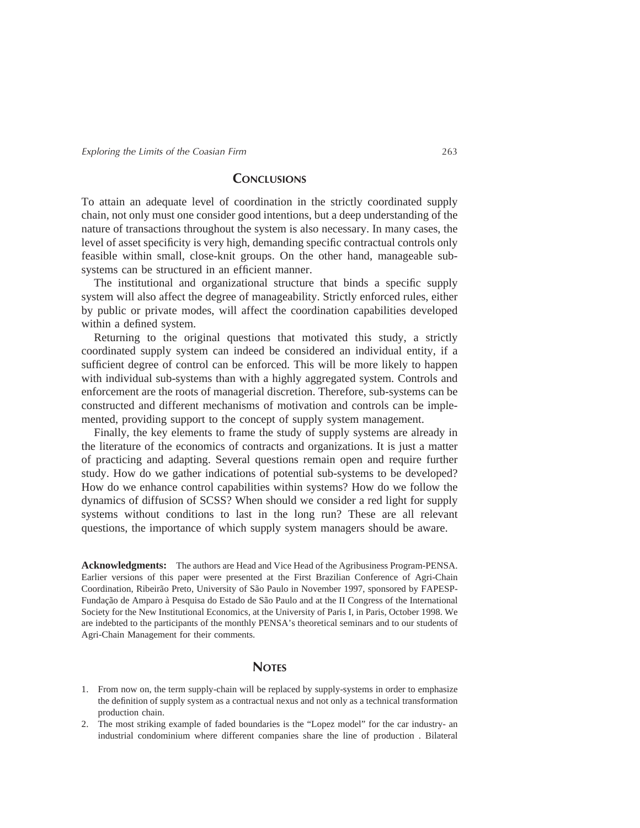## **CONCLUSIONS**

To attain an adequate level of coordination in the strictly coordinated supply chain, not only must one consider good intentions, but a deep understanding of the nature of transactions throughout the system is also necessary. In many cases, the level of asset specificity is very high, demanding specific contractual controls only feasible within small, close-knit groups. On the other hand, manageable subsystems can be structured in an efficient manner.

The institutional and organizational structure that binds a specific supply system will also affect the degree of manageability. Strictly enforced rules, either by public or private modes, will affect the coordination capabilities developed within a defined system.

Returning to the original questions that motivated this study, a strictly coordinated supply system can indeed be considered an individual entity, if a sufficient degree of control can be enforced. This will be more likely to happen with individual sub-systems than with a highly aggregated system. Controls and enforcement are the roots of managerial discretion. Therefore, sub-systems can be constructed and different mechanisms of motivation and controls can be implemented, providing support to the concept of supply system management.

Finally, the key elements to frame the study of supply systems are already in the literature of the economics of contracts and organizations. It is just a matter of practicing and adapting. Several questions remain open and require further study. How do we gather indications of potential sub-systems to be developed? How do we enhance control capabilities within systems? How do we follow the dynamics of diffusion of SCSS? When should we consider a red light for supply systems without conditions to last in the long run? These are all relevant questions, the importance of which supply system managers should be aware.

**Acknowledgments:** The authors are Head and Vice Head of the Agribusiness Program-PENSA. Earlier versions of this paper were presented at the First Brazilian Conference of Agri-Chain Coordination, Ribeirão Preto, University of São Paulo in November 1997, sponsored by FAPESP-Fundação de Amparo à Pesquisa do Estado de São Paulo and at the II Congress of the International Society for the New Institutional Economics, at the University of Paris I, in Paris, October 1998. We are indebted to the participants of the monthly PENSA's theoretical seminars and to our students of Agri-Chain Management for their comments.

#### **NOTES**

- 1. From now on, the term supply-chain will be replaced by supply-systems in order to emphasize the definition of supply system as a contractual nexus and not only as a technical transformation production chain.
- 2. The most striking example of faded boundaries is the "Lopez model" for the car industry- an industrial condominium where different companies share the line of production . Bilateral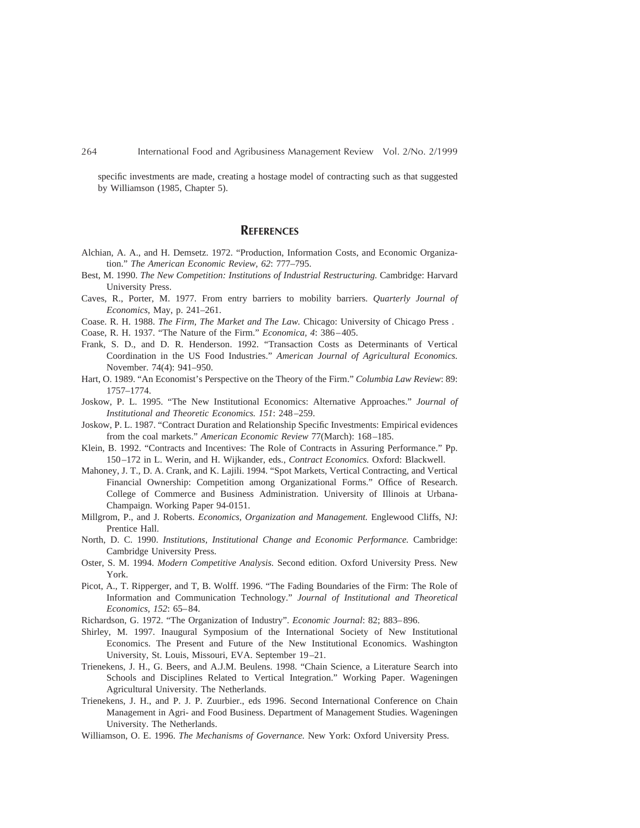specific investments are made, creating a hostage model of contracting such as that suggested by Williamson (1985, Chapter 5).

#### **REFERENCES**

- Alchian, A. A., and H. Demsetz. 1972. "Production, Information Costs, and Economic Organization." *The American Economic Review, 62*: 777–795.
- Best, M. 1990. *The New Competition: Institutions of Industrial Restructuring.* Cambridge: Harvard University Press.
- Caves, R., Porter, M. 1977. From entry barriers to mobility barriers. *Quarterly Journal of Economics*, May, p. 241–261.
- Coase. R. H. 1988. *The Firm, The Market and The Law.* Chicago: University of Chicago Press .
- Coase, R. H. 1937. "The Nature of the Firm." *Economica, 4*: 386–405.
- Frank, S. D., and D. R. Henderson. 1992. "Transaction Costs as Determinants of Vertical Coordination in the US Food Industries." *American Journal of Agricultural Economics.* November. 74(4): 941–950.
- Hart, O. 1989. "An Economist's Perspective on the Theory of the Firm." *Columbia Law Review*: 89: 1757–1774.
- Joskow, P. L. 1995. "The New Institutional Economics: Alternative Approaches." *Journal of Institutional and Theoretic Economics. 151*: 248–259.
- Joskow, P. L. 1987. "Contract Duration and Relationship Specific Investments: Empirical evidences from the coal markets." *American Economic Review* 77(March): 168–185.
- Klein, B. 1992. "Contracts and Incentives: The Role of Contracts in Assuring Performance." Pp. 150–172 in L. Werin, and H. Wijkander, eds., *Contract Economics.* Oxford: Blackwell.
- Mahoney, J. T., D. A. Crank, and K. Lajili. 1994. "Spot Markets, Vertical Contracting, and Vertical Financial Ownership: Competition among Organizational Forms." Office of Research. College of Commerce and Business Administration. University of Illinois at Urbana-Champaign. Working Paper 94-0151.
- Millgrom, P., and J. Roberts. *Economics, Organization and Management.* Englewood Cliffs, NJ: Prentice Hall.
- North, D. C. 1990. *Institutions, Institutional Change and Economic Performance.* Cambridge: Cambridge University Press.
- Oster, S. M. 1994. *Modern Competitive Analysis.* Second edition. Oxford University Press. New York.
- Picot, A., T. Ripperger, and T, B. Wolff. 1996. "The Fading Boundaries of the Firm: The Role of Information and Communication Technology." *Journal of Institutional and Theoretical Economics, 152*: 65–84.
- Richardson, G. 1972. "The Organization of Industry". *Economic Journal*: 82; 883–896.
- Shirley, M. 1997. Inaugural Symposium of the International Society of New Institutional Economics. The Present and Future of the New Institutional Economics. Washington University, St. Louis, Missouri, EVA. September 19–21.
- Trienekens, J. H., G. Beers, and A.J.M. Beulens. 1998. "Chain Science, a Literature Search into Schools and Disciplines Related to Vertical Integration." Working Paper. Wageningen Agricultural University. The Netherlands.
- Trienekens, J. H., and P. J. P. Zuurbier., eds 1996. Second International Conference on Chain Management in Agri- and Food Business. Department of Management Studies. Wageningen University. The Netherlands.
- Williamson, O. E. 1996. *The Mechanisms of Governance.* New York: Oxford University Press.